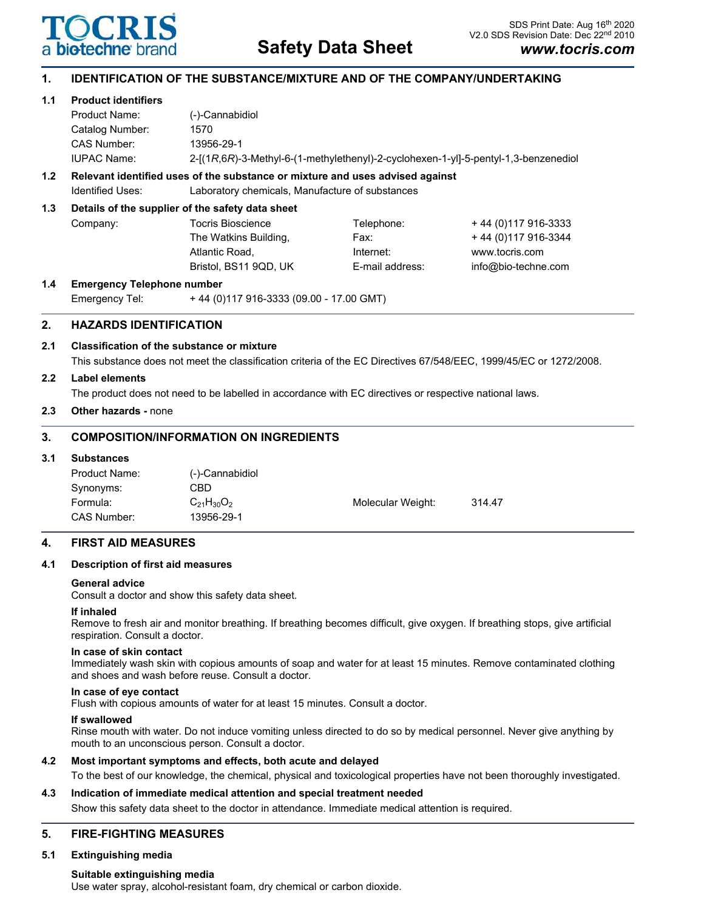

# **Safety Data Sheet**

# **1. IDENTIFICATION OF THE SUBSTANCE/MIXTURE AND OF THE COMPANY/UNDERTAKING**

## **1.1 Product identifiers**

| Catalog Number:<br>CAS Number:                                                | 1570<br>13956-29-1                                                                  |  |  |  |
|-------------------------------------------------------------------------------|-------------------------------------------------------------------------------------|--|--|--|
| <b>IUPAC Name:</b>                                                            | 2-[(1R,6R)-3-Methyl-6-(1-methylethenyl)-2-cyclohexen-1-yll-5-pentyl-1,3-benzenediol |  |  |  |
| Pelavant identified uses of the substance or mivture and uses advised sasinat |                                                                                     |  |  |  |

# **1.2 Relevant identified uses of the substance or mixture and uses advised against**

Identified Uses: Laboratory chemicals, Manufacture of substances

## **1.3 Details of the supplier of the safety data sheet**

| Company: | Tocris Bioscience     |
|----------|-----------------------|
|          | The Watkins Building, |
|          | Atlantic Road.        |
|          | Bristol. BS11 9QD. UI |
|          |                       |

Telephone: + 44 (0)117 916-3333 Fax:  $+ 44 (0)117 916-3344$ Internet: www.tocris.com K E-mail address: info@bio-techne.com

**1.4 Emergency Telephone number** Emergency Tel: + 44 (0)117 916-3333 (09.00 - 17.00 GMT)

# **2. HAZARDS IDENTIFICATION**

# **2.1 Classification of the substance or mixture**

This substance does not meet the classification criteria of the EC Directives 67/548/EEC, 1999/45/EC or 1272/2008.

# **2.2 Label elements**

The product does not need to be labelled in accordance with EC directives or respective national laws.

**2.3 Other hazards -** none

# **3. COMPOSITION/INFORMATION ON INGREDIENTS**

## **3.1 Substances**

| Product Name: | (-)-Cannabidiol   |                   |        |
|---------------|-------------------|-------------------|--------|
| Synonyms:     | CBD               |                   |        |
| Formula:      | $C_{21}H_{30}O_2$ | Molecular Weight: | 314.47 |
| CAS Number:   | 13956-29-1        |                   |        |

## **4. FIRST AID MEASURES**

## **4.1 Description of first aid measures**

#### **General advice**

Consult a doctor and show this safety data sheet.

## **If inhaled**

Remove to fresh air and monitor breathing. If breathing becomes difficult, give oxygen. If breathing stops, give artificial respiration. Consult a doctor.

#### **In case of skin contact**

Immediately wash skin with copious amounts of soap and water for at least 15 minutes. Remove contaminated clothing and shoes and wash before reuse. Consult a doctor.

#### **In case of eye contact**

Flush with copious amounts of water for at least 15 minutes. Consult a doctor.

#### **If swallowed**

Rinse mouth with water. Do not induce vomiting unless directed to do so by medical personnel. Never give anything by mouth to an unconscious person. Consult a doctor.

## **4.2 Most important symptoms and effects, both acute and delayed**

To the best of our knowledge, the chemical, physical and toxicological properties have not been thoroughly investigated.

# **4.3 Indication of immediate medical attention and special treatment needed**

Show this safety data sheet to the doctor in attendance. Immediate medical attention is required.

# **5. FIRE-FIGHTING MEASURES**

## **5.1 Extinguishing media**

## **Suitable extinguishing media**

Use water spray, alcohol-resistant foam, dry chemical or carbon dioxide.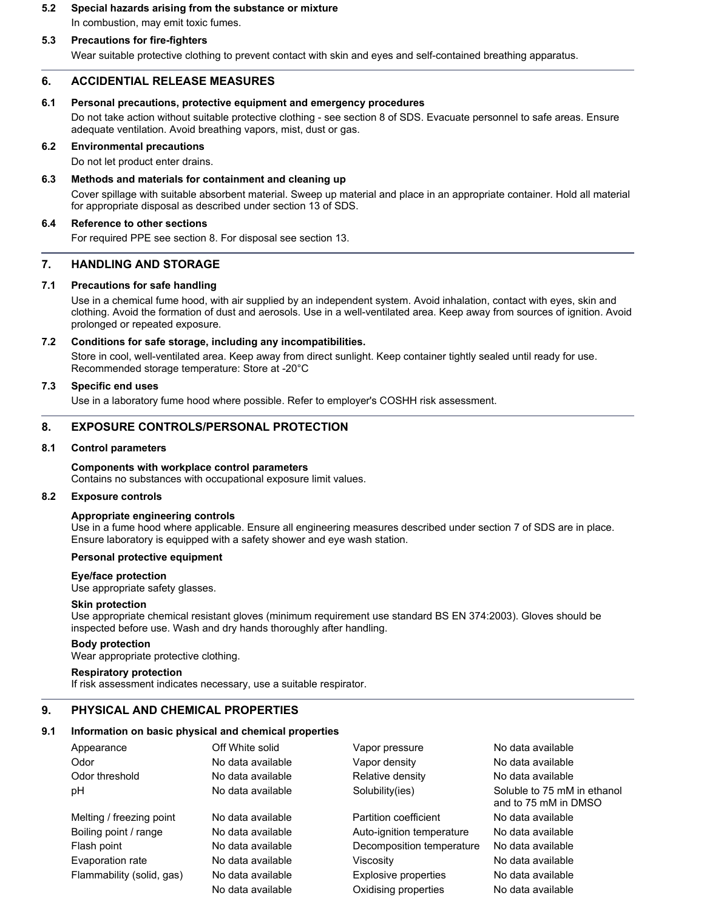# **5.2 Special hazards arising from the substance or mixture** In combustion, may emit toxic fumes.

## **5.3 Precautions for fire-fighters**

Wear suitable protective clothing to prevent contact with skin and eyes and self-contained breathing apparatus.

## **6. ACCIDENTIAL RELEASE MEASURES**

#### **6.1 Personal precautions, protective equipment and emergency procedures**

Do not take action without suitable protective clothing - see section 8 of SDS. Evacuate personnel to safe areas. Ensure adequate ventilation. Avoid breathing vapors, mist, dust or gas.

#### **6.2 Environmental precautions**

Do not let product enter drains.

#### **6.3 Methods and materials for containment and cleaning up**

Cover spillage with suitable absorbent material. Sweep up material and place in an appropriate container. Hold all material for appropriate disposal as described under section 13 of SDS.

#### **6.4 Reference to other sections**

For required PPE see section 8. For disposal see section 13.

# **7. HANDLING AND STORAGE**

## **7.1 Precautions for safe handling**

Use in a chemical fume hood, with air supplied by an independent system. Avoid inhalation, contact with eyes, skin and clothing. Avoid the formation of dust and aerosols. Use in a well-ventilated area. Keep away from sources of ignition. Avoid prolonged or repeated exposure.

#### **7.2 Conditions for safe storage, including any incompatibilities.**

Store in cool, well-ventilated area. Keep away from direct sunlight. Keep container tightly sealed until ready for use. Recommended storage temperature: Store at -20°C

## **7.3 Specific end uses**

Use in a laboratory fume hood where possible. Refer to employer's COSHH risk assessment.

## **8. EXPOSURE CONTROLS/PERSONAL PROTECTION**

#### **8.1 Control parameters**

#### **Components with workplace control parameters** Contains no substances with occupational exposure limit values.

#### **8.2 Exposure controls**

#### **Appropriate engineering controls**

Use in a fume hood where applicable. Ensure all engineering measures described under section 7 of SDS are in place. Ensure laboratory is equipped with a safety shower and eye wash station.

#### **Personal protective equipment**

## **Eye/face protection**

Use appropriate safety glasses.

#### **Skin protection**

Use appropriate chemical resistant gloves (minimum requirement use standard BS EN 374:2003). Gloves should be inspected before use. Wash and dry hands thoroughly after handling.

#### **Body protection**

Wear appropriate protective clothing.

#### **Respiratory protection**

If risk assessment indicates necessary, use a suitable respirator.

## **9. PHYSICAL AND CHEMICAL PROPERTIES**

#### **9.1 Information on basic physical and chemical properties**

| Appearance                | Off White solid   | Vapor pressure            | No data available                                   |  |  |  |
|---------------------------|-------------------|---------------------------|-----------------------------------------------------|--|--|--|
| Odor                      | No data available | Vapor density             | No data available                                   |  |  |  |
| Odor threshold            | No data available | Relative density          | No data available                                   |  |  |  |
| рH                        | No data available | Solubility(ies)           | Soluble to 75 mM in ethanol<br>and to 75 mM in DMSO |  |  |  |
| Melting / freezing point  | No data available | Partition coefficient     | No data available                                   |  |  |  |
| Boiling point / range     | No data available | Auto-ignition temperature | No data available                                   |  |  |  |
| Flash point               | No data available | Decomposition temperature | No data available                                   |  |  |  |
| Evaporation rate          | No data available | Viscositv                 | No data available                                   |  |  |  |
| Flammability (solid, gas) | No data available | Explosive properties      | No data available                                   |  |  |  |
|                           | No data available | Oxidising properties      | No data available                                   |  |  |  |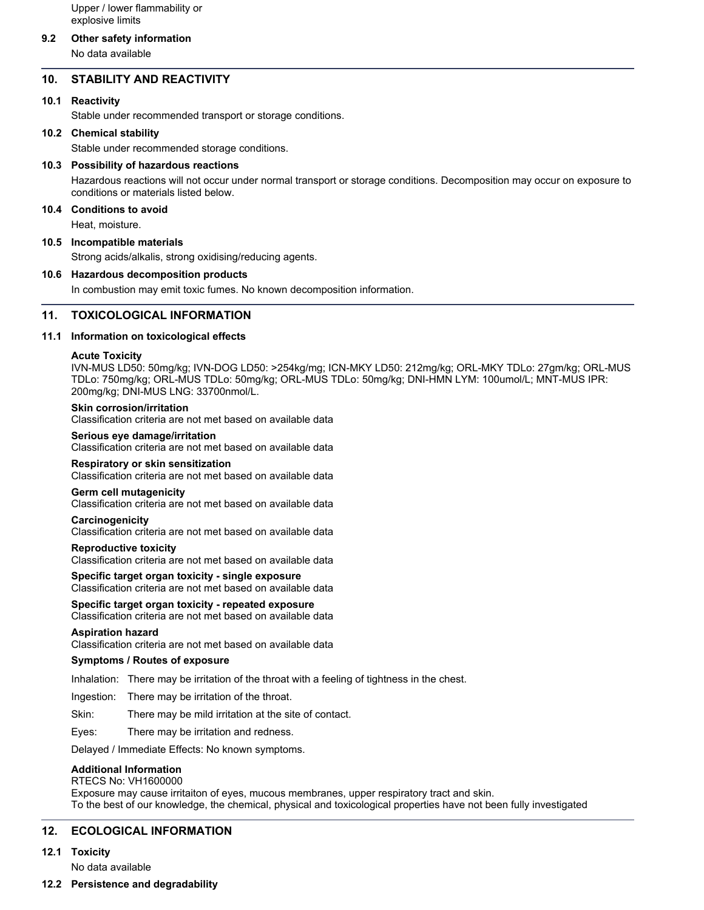Upper / lower flammability or explosive limits

## **9.2 Other safety information**

No data available

## **10. STABILITY AND REACTIVITY**

#### **10.1 Reactivity**

Stable under recommended transport or storage conditions.

#### **10.2 Chemical stability**

Stable under recommended storage conditions.

#### **10.3 Possibility of hazardous reactions**

Hazardous reactions will not occur under normal transport or storage conditions. Decomposition may occur on exposure to conditions or materials listed below.

## **10.4 Conditions to avoid**

Heat, moisture.

### **10.5 Incompatible materials**

Strong acids/alkalis, strong oxidising/reducing agents.

#### **10.6 Hazardous decomposition products**

In combustion may emit toxic fumes. No known decomposition information.

## **11. TOXICOLOGICAL INFORMATION**

#### **11.1 Information on toxicological effects**

#### **Acute Toxicity**

IVN-MUS LD50: 50mg/kg; IVN-DOG LD50: >254kg/mg; ICN-MKY LD50: 212mg/kg; ORL-MKY TDLo: 27gm/kg; ORL-MUS TDLo: 750mg/kg; ORL-MUS TDLo: 50mg/kg; ORL-MUS TDLo: 50mg/kg; DNI-HMN LYM: 100umol/L; MNT-MUS IPR: 200mg/kg; DNI-MUS LNG: 33700nmol/L.

#### **Skin corrosion/irritation**

Classification criteria are not met based on available data

#### **Serious eye damage/irritation**

Classification criteria are not met based on available data

#### **Respiratory or skin sensitization**

Classification criteria are not met based on available data

#### **Germ cell mutagenicity**

Classification criteria are not met based on available data

#### **Carcinogenicity**

Classification criteria are not met based on available data

#### **Reproductive toxicity**

Classification criteria are not met based on available data

#### **Specific target organ toxicity - single exposure** Classification criteria are not met based on available data

**Specific target organ toxicity - repeated exposure** Classification criteria are not met based on available data

#### **Aspiration hazard**

Classification criteria are not met based on available data

#### **Symptoms / Routes of exposure**

Inhalation: There may be irritation of the throat with a feeling of tightness in the chest.

Ingestion: There may be irritation of the throat.

Skin: There may be mild irritation at the site of contact.

Eyes: There may be irritation and redness.

Delayed / Immediate Effects: No known symptoms.

#### **Additional Information**

#### RTECS No: VH1600000

Exposure may cause irritaiton of eyes, mucous membranes, upper respiratory tract and skin. To the best of our knowledge, the chemical, physical and toxicological properties have not been fully investigated

#### **12. ECOLOGICAL INFORMATION**

### **12.1 Toxicity**

No data available

#### **12.2 Persistence and degradability**